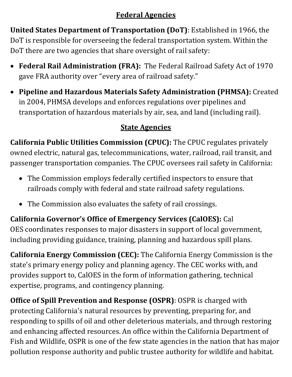# **Federal Agencies**

**United States Department of Transportation (DoT)**: Established in 1966, the DoT is responsible for overseeing the federal transportation system. Within the DoT there are two agencies that share oversight of rail safety:

- **Federal Rail Administration (FRA):** The Federal Railroad Safety Act of 1970 gave FRA authority over "every area of railroad safety."
- **Pipeline and Hazardous Materials Safety Administration (PHMSA):** Created in 2004, PHMSA develops and enforces regulations over pipelines and transportation of hazardous materials by air, sea, and land (including rail).

# **State Agencies**

**California Public Utilities Commission (CPUC):** The CPUC regulates privately owned electric, natural gas, telecommunications, water, railroad, rail transit, and passenger transportation companies. The CPUC oversees rail safety in California:

- The Commission employs federally certified inspectors to ensure that railroads comply with federal and state railroad safety regulations.
- The Commission also evaluates the safety of rail crossings.

**California Governor's Office of Emergency Services (CalOES):** Cal OES coordinates responses to major disasters in support of local government, including providing guidance, training, planning and hazardous spill plans.

**California Energy Commission (CEC):** The California Energy Commission is the state's primary energy policy and planning agency. The CEC works with, and provides support to, CalOES in the form of information gathering, technical expertise, programs, and contingency planning.

**Office of Spill Prevention and Response (OSPR)**: OSPR is charged with protecting California's natural resources by preventing, preparing for, and responding to spills of oil and other deleterious materials, and through restoring and enhancing affected resources. An office within the California Department of Fish and Wildlife, OSPR is one of the few state agencies in the nation that has major pollution response authority and public trustee authority for wildlife and habitat.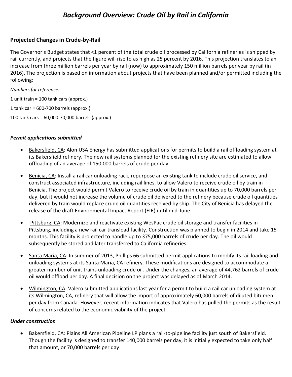# *Background Overview: Crude Oil by Rail in California*

### **Projected Changes in Crude-by-Rail**

The Governor's Budget states that <1 percent of the total crude oil processed by California refineries is shipped by rail currently, and projects that the figure will rise to as high as 25 percent by 2016. This projection translates to an increase from three million barrels per year by rail (now) to approximately 150 million barrels per year by rail (in 2016). The projection is based on information about projects that have been planned and/or permitted including the following:

*Numbers for reference:* 1 unit train = 100 tank cars (approx.) 1 tank car =  $600-700$  barrels (approx.) 100 tank cars = 60,000-70,000 barrels (approx.)

### *Permit applications submitted*

- Bakersfield, CA: Alon USA Energy has submitted applications for permits to build a rail offloading system at its Bakersfield refinery. The new rail systems planned for the existing refinery site are estimated to allow offloading of an average of 150,000 barrels of crude per day.
- Benicia, CA: Install a rail car unloading rack, repurpose an existing tank to include crude oil service, and construct associated infrastructure, including rail lines, to allow Valero to receive crude oil by train in Benicia. The project would permit Valero to receive crude oil by train in quantities up to 70,000 barrels per day, but it would not increase the volume of crude oil delivered to the refinery because crude oil quantities delivered by train would replace crude oil quantities received by ship. The City of Benicia has delayed the release of the draft Environmental Impact Report (EIR) until mid-June.
- Pittsburg, CA: Modernize and reactivate existing WesPac crude oil storage and transfer facilities in Pittsburg, including a new rail car transload facility. Construction was planned to begin in 2014 and take 15 months. This facility is projected to handle up to 375,000 barrels of crude per day. The oil would subsequently be stored and later transferred to California refineries.
- Santa Maria, CA: In summer of 2013, Phillips 66 submitted permit applications to modify its rail loading and unloading systems at its Santa Maria, CA refinery. These modifications are designed to accommodate a greater number of unit trains unloading crude oil. Under the changes, an average of 44,762 barrels of crude oil would offload per day. A final decision on the project was delayed as of March 2014.
- Wilmington, CA: Valero submitted applications last year for a permit to build a rail car unloading system at its Wilmington, CA, refinery that will allow the import of approximately 60,000 barrels of diluted bitumen per day from Canada. However, recent information indicates that Valero has pulled the permits as the result of concerns related to the economic viability of the project.

#### *Under construction*

• Bakersfield, CA: Plains All American Pipeline LP plans a rail-to-pipeline facility just south of Bakersfield. Though the facility is designed to transfer 140,000 barrels per day, it is initially expected to take only half that amount, or 70,000 barrels per day.